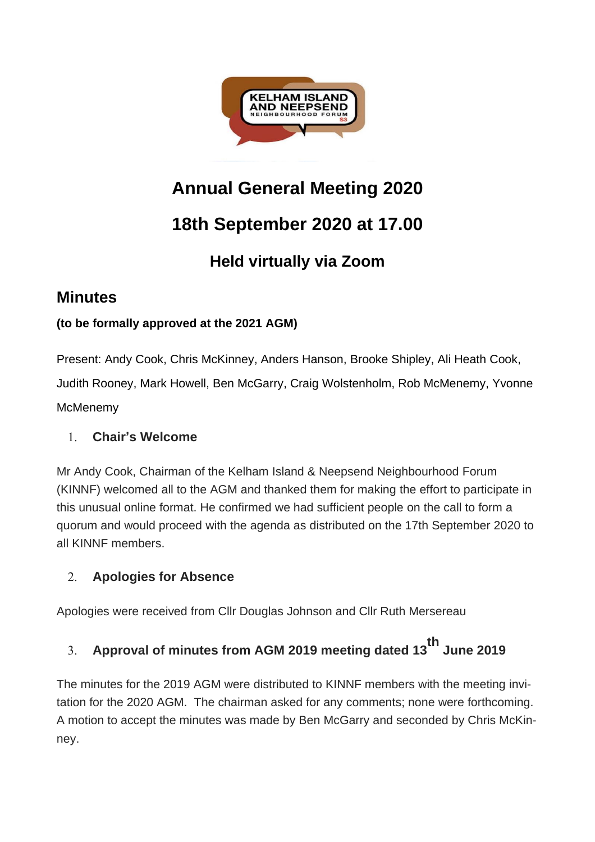

# **Annual General Meeting 2020**

## **18th September 2020 at 17.00**

## **Held virtually via Zoom**

### **Minutes**

#### **(to be formally approved at the 2021 AGM)**

Present: Andy Cook, Chris McKinney, Anders Hanson, Brooke Shipley, Ali Heath Cook, Judith Rooney, Mark Howell, Ben McGarry, Craig Wolstenholm, Rob McMenemy, Yvonne **McMenemy** 

#### 1. **Chair's Welcome**

Mr Andy Cook, Chairman of the Kelham Island & Neepsend Neighbourhood Forum (KINNF) welcomed all to the AGM and thanked them for making the effort to participate in this unusual online format. He confirmed we had sufficient people on the call to form a quorum and would proceed with the agenda as distributed on the 17th September 2020 to all KINNF members.

#### 2. **Apologies for Absence**

Apologies were received from Cllr Douglas Johnson and Cllr Ruth Mersereau

# 3. **Approval of minutes from AGM <sup>2019</sup> meeting dated 13th June <sup>2019</sup>**

The minutes for the 2019 AGM were distributed to KINNF members with the meeting invitation for the 2020 AGM. The chairman asked for any comments; none were forthcoming. A motion to accept the minutes was made by Ben McGarry and seconded by Chris McKinney.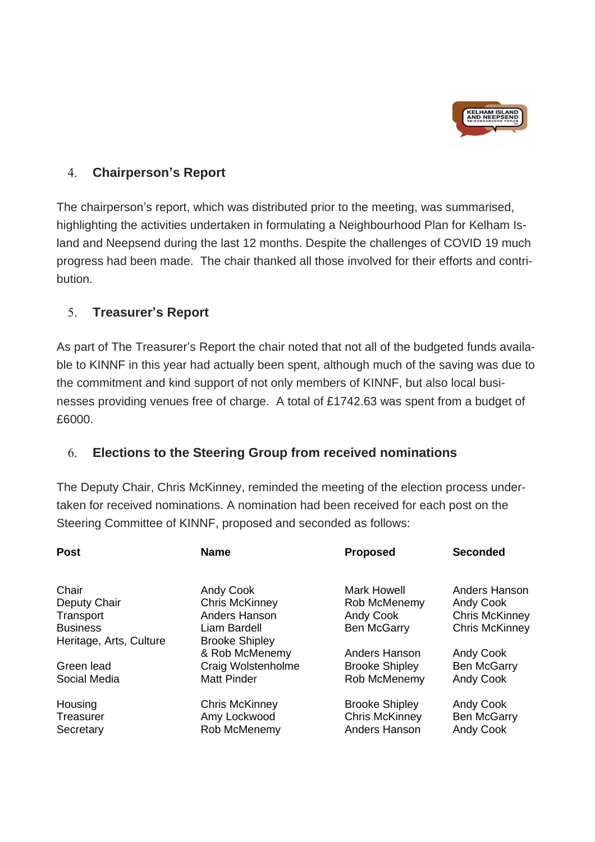

#### 4. **Chairperson's Report**

The chairperson's report, which was distributed prior to the meeting, was summarised, highlighting the activities undertaken in formulating a Neighbourhood Plan for Kelham Island and Neepsend during the last 12 months. Despite the challenges of COVID 19 much progress had been made. The chair thanked all those involved for their efforts and contribution.

#### 5. **Treasurer's Report**

As part of The Treasurer's Report the chair noted that not all of the budgeted funds available to KINNF in this year had actually been spent, although much of the saving was due to the commitment and kind support of not only members of KINNF, but also local businesses providing venues free of charge. A total of £1742.63 was spent from a budget of £6000.

#### 6. **Elections to the Steering Group from received nominations**

The Deputy Chair, Chris McKinney, reminded the meeting of the election process undertaken for received nominations. A nomination had been received for each post on the Steering Committee of KINNF, proposed and seconded as follows:

| <b>Post</b>             | <b>Name</b>           | <b>Proposed</b>       | <b>Seconded</b>       |
|-------------------------|-----------------------|-----------------------|-----------------------|
| Chair                   | <b>Andy Cook</b>      | Mark Howell           | Anders Hanson         |
| Deputy Chair            | <b>Chris McKinney</b> | Rob McMenemy          | <b>Andy Cook</b>      |
| Transport               | Anders Hanson         | <b>Andy Cook</b>      | <b>Chris McKinney</b> |
| <b>Business</b>         | Liam Bardell          | <b>Ben McGarry</b>    | <b>Chris McKinney</b> |
| Heritage, Arts, Culture | <b>Brooke Shipley</b> |                       |                       |
|                         | & Rob McMenemy        | Anders Hanson         | <b>Andy Cook</b>      |
| Green lead              | Craig Wolstenholme    | <b>Brooke Shipley</b> | <b>Ben McGarry</b>    |
| Social Media            | <b>Matt Pinder</b>    | Rob McMenemy          | <b>Andy Cook</b>      |
| Housing                 | <b>Chris McKinney</b> | <b>Brooke Shipley</b> | <b>Andy Cook</b>      |
| Treasurer               | Amy Lockwood          | <b>Chris McKinney</b> | <b>Ben McGarry</b>    |
| Secretary               | Rob McMenemy          | Anders Hanson         | <b>Andy Cook</b>      |